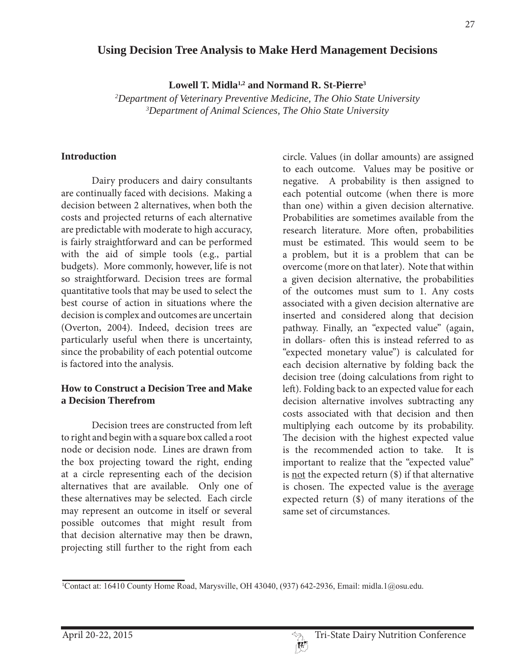# **Using Decision Tree Analysis to Make Herd Management Decisions**

**Lowell T. Midla1,2 and Normand R. St-Pierre3**

*2 Department of Veterinary Preventive Medicine, The Ohio State University 3 Department of Animal Sciences, The Ohio State University*

#### **Introduction**

 Dairy producers and dairy consultants are continually faced with decisions. Making a decision between 2 alternatives, when both the costs and projected returns of each alternative are predictable with moderate to high accuracy, is fairly straightforward and can be performed with the aid of simple tools (e.g., partial budgets). More commonly, however, life is not so straightforward. Decision trees are formal quantitative tools that may be used to select the best course of action in situations where the decision is complex and outcomes are uncertain (Overton, 2004). Indeed, decision trees are particularly useful when there is uncertainty, since the probability of each potential outcome is factored into the analysis.

#### **How to Construct a Decision Tree and Make a Decision Therefrom**

 Decision trees are constructed from left to right and begin with a square box called a root node or decision node. Lines are drawn from the box projecting toward the right, ending at a circle representing each of the decision alternatives that are available. Only one of these alternatives may be selected. Each circle may represent an outcome in itself or several possible outcomes that might result from that decision alternative may then be drawn, projecting still further to the right from each circle. Values (in dollar amounts) are assigned to each outcome. Values may be positive or negative. A probability is then assigned to each potential outcome (when there is more than one) within a given decision alternative. Probabilities are sometimes available from the research literature. More often, probabilities must be estimated. This would seem to be a problem, but it is a problem that can be overcome (more on that later). Note that within a given decision alternative, the probabilities of the outcomes must sum to 1. Any costs associated with a given decision alternative are inserted and considered along that decision pathway. Finally, an "expected value" (again, in dollars- often this is instead referred to as "expected monetary value") is calculated for each decision alternative by folding back the decision tree (doing calculations from right to left). Folding back to an expected value for each decision alternative involves subtracting any costs associated with that decision and then multiplying each outcome by its probability. The decision with the highest expected value is the recommended action to take. It is important to realize that the "expected value" is not the expected return (\$) if that alternative is chosen. The expected value is the average expected return (\$) of many iterations of the same set of circumstances.

Contact at: 16410 County Home Road, Marysville, OH 43040, (937) 642-2936, Email: midla.1@osu.edu.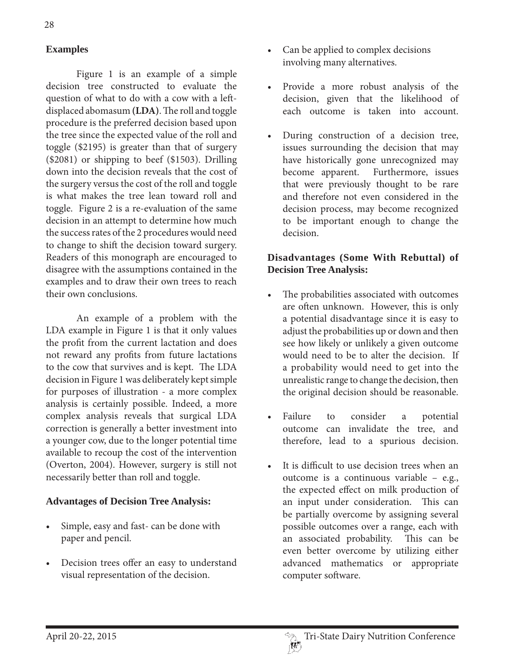## **Examples**

 Figure 1 is an example of a simple decision tree constructed to evaluate the question of what to do with a cow with a leftdisplaced abomasum **(LDA)**. The roll and toggle procedure is the preferred decision based upon the tree since the expected value of the roll and toggle (\$2195) is greater than that of surgery (\$2081) or shipping to beef (\$1503). Drilling down into the decision reveals that the cost of the surgery versus the cost of the roll and toggle is what makes the tree lean toward roll and toggle. Figure 2 is a re-evaluation of the same decision in an attempt to determine how much the success rates of the 2 procedures would need to change to shift the decision toward surgery. Readers of this monograph are encouraged to disagree with the assumptions contained in the examples and to draw their own trees to reach their own conclusions.

 An example of a problem with the LDA example in Figure 1 is that it only values the profit from the current lactation and does not reward any profits from future lactations to the cow that survives and is kept. The LDA decision in Figure 1 was deliberately kept simple for purposes of illustration - a more complex analysis is certainly possible. Indeed, a more complex analysis reveals that surgical LDA correction is generally a better investment into a younger cow, due to the longer potential time available to recoup the cost of the intervention (Overton, 2004). However, surgery is still not necessarily better than roll and toggle.

#### **Advantages of Decision Tree Analysis:**

- Simple, easy and fast- can be done with paper and pencil.
- Decision trees offer an easy to understand visual representation of the decision.
- Can be applied to complex decisions involving many alternatives.
- Provide a more robust analysis of the decision, given that the likelihood of each outcome is taken into account.
- During construction of a decision tree, issues surrounding the decision that may have historically gone unrecognized may become apparent. Furthermore, issues that were previously thought to be rare and therefore not even considered in the decision process, may become recognized to be important enough to change the decision.

### **Disadvantages (Some With Rebuttal) of Decision Tree Analysis:**

- The probabilities associated with outcomes are often unknown. However, this is only a potential disadvantage since it is easy to adjust the probabilities up or down and then see how likely or unlikely a given outcome would need to be to alter the decision. If a probability would need to get into the unrealistic range to change the decision, then the original decision should be reasonable.
- Failure to consider a potential outcome can invalidate the tree, and therefore, lead to a spurious decision.
- t It is difficult to use decision trees when an outcome is a continuous variable – e.g., the expected effect on milk production of an input under consideration. This can be partially overcome by assigning several possible outcomes over a range, each with an associated probability. This can be even better overcome by utilizing either advanced mathematics or appropriate computer software.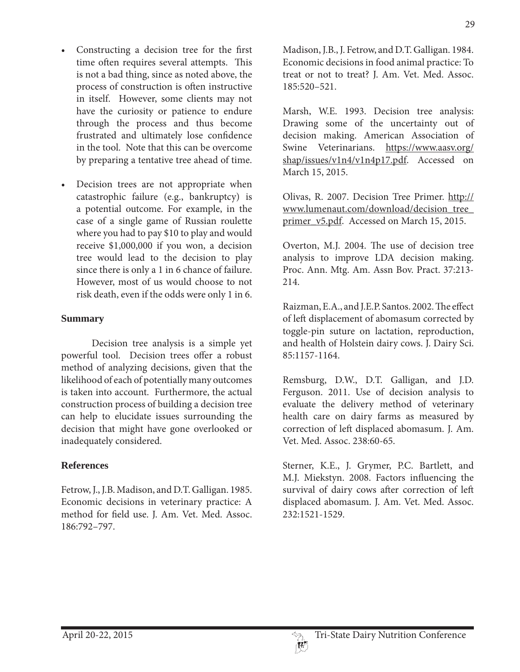- Constructing a decision tree for the first time often requires several attempts. This is not a bad thing, since as noted above, the process of construction is often instructive in itself. However, some clients may not have the curiosity or patience to endure through the process and thus become frustrated and ultimately lose confidence in the tool. Note that this can be overcome by preparing a tentative tree ahead of time.
- Decision trees are not appropriate when catastrophic failure (e.g., bankruptcy) is a potential outcome. For example, in the case of a single game of Russian roulette where you had to pay \$10 to play and would receive \$1,000,000 if you won, a decision tree would lead to the decision to play since there is only a 1 in 6 chance of failure. However, most of us would choose to not risk death, even if the odds were only 1 in 6.

#### **Summary**

 Decision tree analysis is a simple yet powerful tool. Decision trees offer a robust method of analyzing decisions, given that the likelihood of each of potentially many outcomes is taken into account. Furthermore, the actual construction process of building a decision tree can help to elucidate issues surrounding the decision that might have gone overlooked or inadequately considered.

## **References**

Fetrow, J., J.B. Madison, and D.T. Galligan. 1985. Economic decisions in veterinary practice: A method for field use. J. Am. Vet. Med. Assoc. 186:792–797.

Madison, J.B., J. Fetrow, and D.T. Galligan. 1984. Economic decisions in food animal practice: To treat or not to treat? J. Am. Vet. Med. Assoc. 185:520–521.

Marsh, W.E. 1993. Decision tree analysis: Drawing some of the uncertainty out of decision making. American Association of Swine Veterinarians. https://www.aasv.org/ shap/issues/v1n4/v1n4p17.pdf. Accessed on March 15, 2015.

Olivas, R. 2007. Decision Tree Primer. http:// www.lumenaut.com/download/decision\_tree\_ primer\_v5.pdf. Accessed on March 15, 2015.

Overton, M.J. 2004. The use of decision tree analysis to improve LDA decision making. Proc. Ann. Mtg. Am. Assn Bov. Pract. 37:213- 214.

Raizman, E.A., and J.E.P. Santos. 2002. The effect of left displacement of abomasum corrected by toggle-pin suture on lactation, reproduction, and health of Holstein dairy cows. J. Dairy Sci. 85:1157-1164.

Remsburg, D.W., D.T. Galligan, and J.D. Ferguson. 2011. Use of decision analysis to evaluate the delivery method of veterinary health care on dairy farms as measured by correction of left displaced abomasum. J. Am. Vet. Med. Assoc. 238:60-65.

Sterner, K.E., J. Grymer, P.C. Bartlett, and M.J. Miekstyn. 2008. Factors influencing the survival of dairy cows after correction of left displaced abomasum. J. Am. Vet. Med. Assoc. 232:1521-1529.

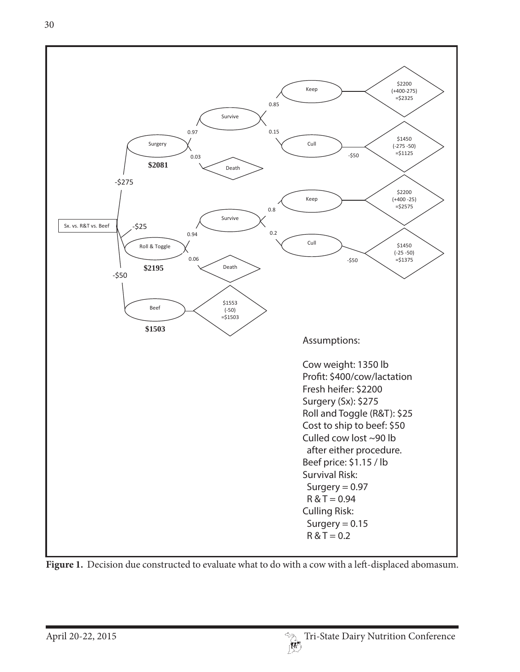

Figure 1. Decision due constructed to evaluate what to do with a cow with a left-displaced abomasum.